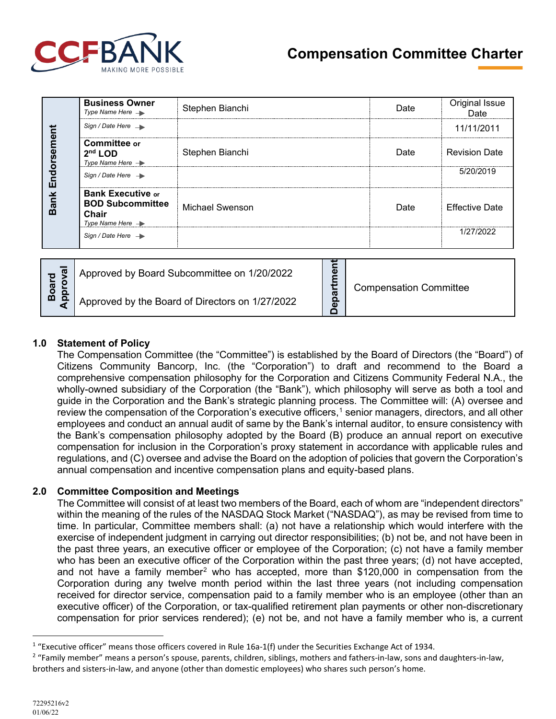

|     | <b>Bank Endorsement</b>                                                                                                                                                                                                                                                                                                                                                                                                                                                                                                                                                                                                                                                                                                                                                                                                                                                                                                                                                                                                                                                                                                                                                                                                                             | <b>Business Owner</b><br>Type Name Here $\rightarrow$                                                                                                                                                                                                                                                                                                                                                                                                                                                                                                                                                                                                                                                                                                                                                                                                                                                                                                                                                                                                            | Stephen Bianchi                                                                                                                                                                                                                                                                                                                                                                    | Date | Original Issue<br>Date |  |  |
|-----|-----------------------------------------------------------------------------------------------------------------------------------------------------------------------------------------------------------------------------------------------------------------------------------------------------------------------------------------------------------------------------------------------------------------------------------------------------------------------------------------------------------------------------------------------------------------------------------------------------------------------------------------------------------------------------------------------------------------------------------------------------------------------------------------------------------------------------------------------------------------------------------------------------------------------------------------------------------------------------------------------------------------------------------------------------------------------------------------------------------------------------------------------------------------------------------------------------------------------------------------------------|------------------------------------------------------------------------------------------------------------------------------------------------------------------------------------------------------------------------------------------------------------------------------------------------------------------------------------------------------------------------------------------------------------------------------------------------------------------------------------------------------------------------------------------------------------------------------------------------------------------------------------------------------------------------------------------------------------------------------------------------------------------------------------------------------------------------------------------------------------------------------------------------------------------------------------------------------------------------------------------------------------------------------------------------------------------|------------------------------------------------------------------------------------------------------------------------------------------------------------------------------------------------------------------------------------------------------------------------------------------------------------------------------------------------------------------------------------|------|------------------------|--|--|
|     |                                                                                                                                                                                                                                                                                                                                                                                                                                                                                                                                                                                                                                                                                                                                                                                                                                                                                                                                                                                                                                                                                                                                                                                                                                                     | Sign / Date Here $\rightarrow$                                                                                                                                                                                                                                                                                                                                                                                                                                                                                                                                                                                                                                                                                                                                                                                                                                                                                                                                                                                                                                   |                                                                                                                                                                                                                                                                                                                                                                                    |      | 11/11/2011             |  |  |
|     |                                                                                                                                                                                                                                                                                                                                                                                                                                                                                                                                                                                                                                                                                                                                                                                                                                                                                                                                                                                                                                                                                                                                                                                                                                                     | <b>Committee or</b><br>$2nd$ LOD<br>Type Name Here $\rightarrow$                                                                                                                                                                                                                                                                                                                                                                                                                                                                                                                                                                                                                                                                                                                                                                                                                                                                                                                                                                                                 | Stephen Bianchi                                                                                                                                                                                                                                                                                                                                                                    | Date | <b>Revision Date</b>   |  |  |
|     |                                                                                                                                                                                                                                                                                                                                                                                                                                                                                                                                                                                                                                                                                                                                                                                                                                                                                                                                                                                                                                                                                                                                                                                                                                                     | Sign / Date Here $\rightarrow$                                                                                                                                                                                                                                                                                                                                                                                                                                                                                                                                                                                                                                                                                                                                                                                                                                                                                                                                                                                                                                   |                                                                                                                                                                                                                                                                                                                                                                                    |      | 5/20/2019              |  |  |
|     |                                                                                                                                                                                                                                                                                                                                                                                                                                                                                                                                                                                                                                                                                                                                                                                                                                                                                                                                                                                                                                                                                                                                                                                                                                                     | <b>Bank Executive or</b><br><b>BOD Subcommittee</b><br>Chair<br>Type Name Here $\rightarrow$                                                                                                                                                                                                                                                                                                                                                                                                                                                                                                                                                                                                                                                                                                                                                                                                                                                                                                                                                                     | <b>Michael Swenson</b>                                                                                                                                                                                                                                                                                                                                                             | Date | <b>Effective Date</b>  |  |  |
|     |                                                                                                                                                                                                                                                                                                                                                                                                                                                                                                                                                                                                                                                                                                                                                                                                                                                                                                                                                                                                                                                                                                                                                                                                                                                     | Sign / Date Here $\rightarrow$                                                                                                                                                                                                                                                                                                                                                                                                                                                                                                                                                                                                                                                                                                                                                                                                                                                                                                                                                                                                                                   |                                                                                                                                                                                                                                                                                                                                                                                    |      | 1/27/2022              |  |  |
|     | Approval<br><b>Board</b>                                                                                                                                                                                                                                                                                                                                                                                                                                                                                                                                                                                                                                                                                                                                                                                                                                                                                                                                                                                                                                                                                                                                                                                                                            | Approved by Board Subcommittee on 1/20/2022<br>Approved by the Board of Directors on 1/27/2022                                                                                                                                                                                                                                                                                                                                                                                                                                                                                                                                                                                                                                                                                                                                                                                                                                                                                                                                                                   | <b>Compensation Committee</b>                                                                                                                                                                                                                                                                                                                                                      |      |                        |  |  |
|     |                                                                                                                                                                                                                                                                                                                                                                                                                                                                                                                                                                                                                                                                                                                                                                                                                                                                                                                                                                                                                                                                                                                                                                                                                                                     | Citizens Community Bancorp, Inc. (the "Corporation") to draft and recommend to the Board<br>comprehensive compensation philosophy for the Corporation and Citizens Community Federal N.A., th<br>wholly-owned subsidiary of the Corporation (the "Bank"), which philosophy will serve as both a tool ar<br>guide in the Corporation and the Bank's strategic planning process. The Committee will: (A) oversee ar<br>review the compensation of the Corporation's executive officers, <sup>1</sup> senior managers, directors, and all oth<br>employees and conduct an annual audit of same by the Bank's internal auditor, to ensure consistency wi<br>the Bank's compensation philosophy adopted by the Board (B) produce an annual report on executiv<br>compensation for inclusion in the Corporation's proxy statement in accordance with applicable rules are<br>regulations, and (C) oversee and advise the Board on the adoption of policies that govern the Corporation<br>annual compensation and incentive compensation plans and equity-based plans. |                                                                                                                                                                                                                                                                                                                                                                                    |      |                        |  |  |
| 2.0 | <b>Committee Composition and Meetings</b><br>The Committee will consist of at least two members of the Board, each of whom are "independent director<br>within the meaning of the rules of the NASDAQ Stock Market ("NASDAQ"), as may be revised from time<br>time. In particular, Committee members shall: (a) not have a relationship which would interfere with the<br>exercise of independent judgment in carrying out director responsibilities; (b) not be, and not have been<br>the past three years, an executive officer or employee of the Corporation; (c) not have a family memb<br>who has been an executive officer of the Corporation within the past three years; (d) not have accepte<br>and not have a family member <sup>2</sup> who has accepted, more than \$120,000 in compensation from th<br>Corporation during any twelve month period within the last three years (not including compensation<br>received for director service, compensation paid to a family member who is an employee (other than a<br>executive officer) of the Corporation, or tax-qualified retirement plan payments or other non-discretiona<br>compensation for prior services rendered); (e) not be, and not have a family member who is, a curre |                                                                                                                                                                                                                                                                                                                                                                                                                                                                                                                                                                                                                                                                                                                                                                                                                                                                                                                                                                                                                                                                  |                                                                                                                                                                                                                                                                                                                                                                                    |      |                        |  |  |
|     |                                                                                                                                                                                                                                                                                                                                                                                                                                                                                                                                                                                                                                                                                                                                                                                                                                                                                                                                                                                                                                                                                                                                                                                                                                                     |                                                                                                                                                                                                                                                                                                                                                                                                                                                                                                                                                                                                                                                                                                                                                                                                                                                                                                                                                                                                                                                                  | <sup>1</sup> "Executive officer" means those officers covered in Rule $16a-1(f)$ under the Securities Exchange Act of 1934.<br><sup>2</sup> "Family member" means a person's spouse, parents, children, siblings, mothers and fathers-in-law, sons and daughters-in-law,<br>brothers and sisters-in-law, and anyone (other than domestic employees) who shares such person's home. |      |                        |  |  |

|   | Approved by Board Subcommittee on 1/20/2022     | Φ<br>ത<br>$\Omega$<br>Φ | <b>Compensation Committee</b> |
|---|-------------------------------------------------|-------------------------|-------------------------------|
| ⋒ | Approved by the Board of Directors on 1/27/2022 |                         |                               |

# **1.0 Statement of Policy**

### **2.0 Committee Composition and Meetings**

<span id="page-0-0"></span> $1$  "Executive officer" means those officers covered in Rule 16a-1(f) under the Securities Exchange Act of 1934.

<span id="page-0-1"></span><sup>&</sup>lt;sup>2</sup> "Family member" means a person's spouse, parents, children, siblings, mothers and fathers-in-law, sons and daughters-in-law,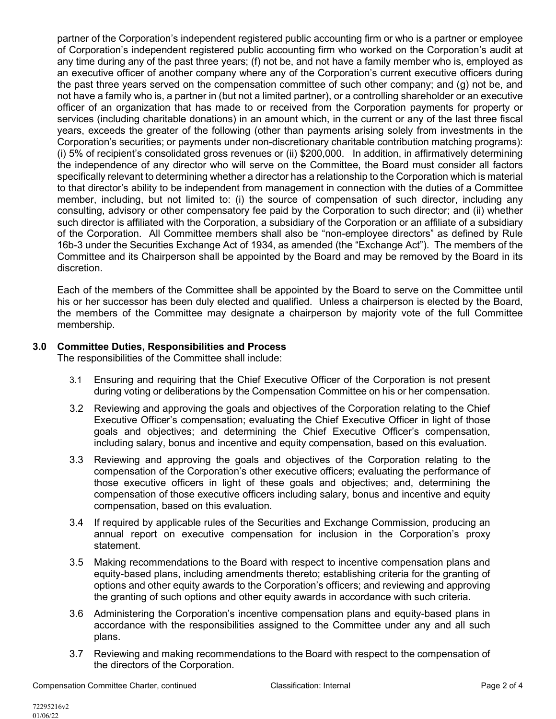partner of the Corporation's independent registered public accounting firm or who is a partner or employee of Corporation's independent registered public accounting firm who worked on the Corporation's audit at any time during any of the past three years; (f) not be, and not have a family member who is, employed as an executive officer of another company where any of the Corporation's current executive officers during the past three years served on the compensation committee of such other company; and (g) not be, and not have a family who is, a partner in (but not a limited partner), or a controlling shareholder or an executive officer of an organization that has made to or received from the Corporation payments for property or services (including charitable donations) in an amount which, in the current or any of the last three fiscal years, exceeds the greater of the following (other than payments arising solely from investments in the Corporation's securities; or payments under non-discretionary charitable contribution matching programs): (i) 5% of recipient's consolidated gross revenues or (ii) \$200,000. In addition, in affirmatively determining the independence of any director who will serve on the Committee, the Board must consider all factors specifically relevant to determining whether a director has a relationship to the Corporation which is material to that director's ability to be independent from management in connection with the duties of a Committee member, including, but not limited to: (i) the source of compensation of such director, including any consulting, advisory or other compensatory fee paid by the Corporation to such director; and (ii) whether such director is affiliated with the Corporation, a subsidiary of the Corporation or an affiliate of a subsidiary of the Corporation. All Committee members shall also be "non-employee directors" as defined by Rule 16b-3 under the Securities Exchange Act of 1934, as amended (the "Exchange Act"). The members of the Committee and its Chairperson shall be appointed by the Board and may be removed by the Board in its discretion.

Each of the members of the Committee shall be appointed by the Board to serve on the Committee until his or her successor has been duly elected and qualified. Unless a chairperson is elected by the Board, the members of the Committee may designate a chairperson by majority vote of the full Committee membership.

# **3.0 Committee Duties, Responsibilities and Process**

The responsibilities of the Committee shall include:

- 3.1 Ensuring and requiring that the Chief Executive Officer of the Corporation is not present during voting or deliberations by the Compensation Committee on his or her compensation.
- 3.2 Reviewing and approving the goals and objectives of the Corporation relating to the Chief Executive Officer's compensation; evaluating the Chief Executive Officer in light of those goals and objectives; and determining the Chief Executive Officer's compensation, including salary, bonus and incentive and equity compensation, based on this evaluation.
- 3.3 Reviewing and approving the goals and objectives of the Corporation relating to the compensation of the Corporation's other executive officers; evaluating the performance of those executive officers in light of these goals and objectives; and, determining the compensation of those executive officers including salary, bonus and incentive and equity compensation, based on this evaluation.
- 3.4 If required by applicable rules of the Securities and Exchange Commission, producing an annual report on executive compensation for inclusion in the Corporation's proxy statement.
- 3.5 Making recommendations to the Board with respect to incentive compensation plans and equity-based plans, including amendments thereto; establishing criteria for the granting of options and other equity awards to the Corporation's officers; and reviewing and approving the granting of such options and other equity awards in accordance with such criteria.
- 3.6 Administering the Corporation's incentive compensation plans and equity-based plans in accordance with the responsibilities assigned to the Committee under any and all such plans.
- 3.7 Reviewing and making recommendations to the Board with respect to the compensation of the directors of the Corporation.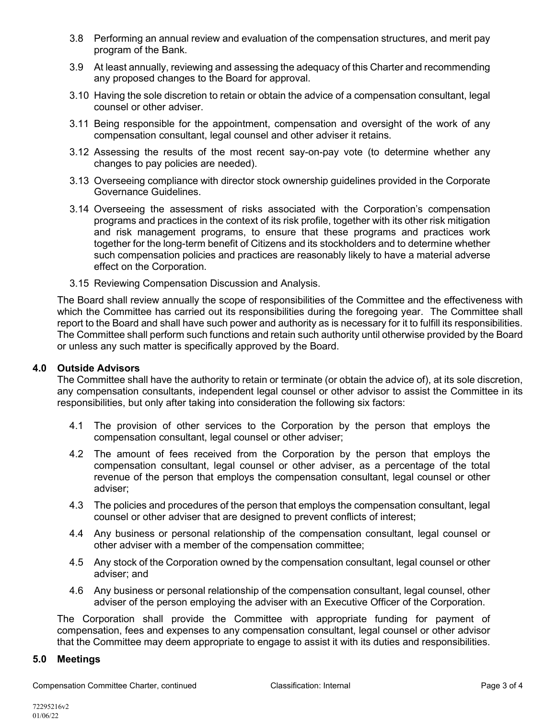- 3.8 Performing an annual review and evaluation of the compensation structures, and merit pay program of the Bank.
- 3.9 At least annually, reviewing and assessing the adequacy of this Charter and recommending any proposed changes to the Board for approval.
- 3.10 Having the sole discretion to retain or obtain the advice of a compensation consultant, legal counsel or other adviser.
- 3.11 Being responsible for the appointment, compensation and oversight of the work of any compensation consultant, legal counsel and other adviser it retains.
- 3.12 Assessing the results of the most recent say-on-pay vote (to determine whether any changes to pay policies are needed).
- 3.13 Overseeing compliance with director stock ownership guidelines provided in the Corporate Governance Guidelines.
- 3.14 Overseeing the assessment of risks associated with the Corporation's compensation programs and practices in the context of its risk profile, together with its other risk mitigation and risk management programs, to ensure that these programs and practices work together for the long-term benefit of Citizens and its stockholders and to determine whether such compensation policies and practices are reasonably likely to have a material adverse effect on the Corporation.
- 3.15 Reviewing Compensation Discussion and Analysis.

The Board shall review annually the scope of responsibilities of the Committee and the effectiveness with which the Committee has carried out its responsibilities during the foregoing year. The Committee shall report to the Board and shall have such power and authority as is necessary for it to fulfill its responsibilities. The Committee shall perform such functions and retain such authority until otherwise provided by the Board or unless any such matter is specifically approved by the Board.

### **4.0 Outside Advisors**

The Committee shall have the authority to retain or terminate (or obtain the advice of), at its sole discretion, any compensation consultants, independent legal counsel or other advisor to assist the Committee in its responsibilities, but only after taking into consideration the following six factors:

- 4.1 The provision of other services to the Corporation by the person that employs the compensation consultant, legal counsel or other adviser;
- 4.2 The amount of fees received from the Corporation by the person that employs the compensation consultant, legal counsel or other adviser, as a percentage of the total revenue of the person that employs the compensation consultant, legal counsel or other adviser;
- 4.3 The policies and procedures of the person that employs the compensation consultant, legal counsel or other adviser that are designed to prevent conflicts of interest;
- 4.4 Any business or personal relationship of the compensation consultant, legal counsel or other adviser with a member of the compensation committee;
- 4.5 Any stock of the Corporation owned by the compensation consultant, legal counsel or other adviser; and
- 4.6 Any business or personal relationship of the compensation consultant, legal counsel, other adviser of the person employing the adviser with an Executive Officer of the Corporation.

The Corporation shall provide the Committee with appropriate funding for payment of compensation, fees and expenses to any compensation consultant, legal counsel or other advisor that the Committee may deem appropriate to engage to assist it with its duties and responsibilities.

### **5.0 Meetings**